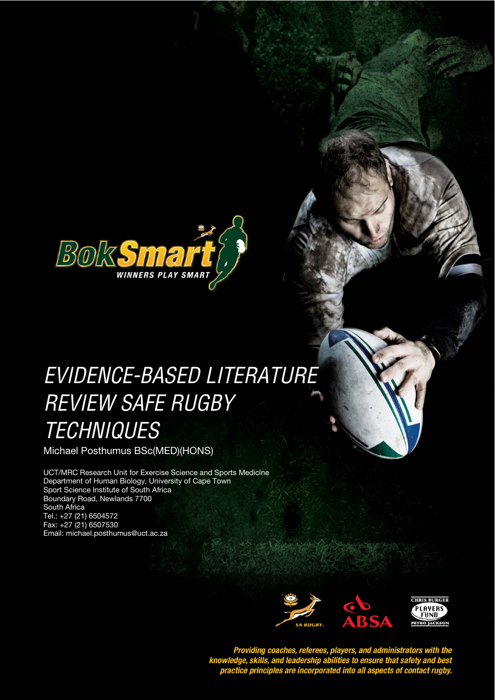

# EVIDENCE-BASED LITERATURE **STYLE HEADING FOR TABLES**  REVIEW SAFE RUGBY **TECHNIQUES**

Michael Posthumus BSc(MED)(HONS)

UCT/MRC Research Unit for Exercise Science and Sports Medicine Department of Human Biology, University of Cape Town Sport Science Institute of South Africa Boundary Road, Newlands 7700 South Africa Tel.: +27 (21) 6504572 Fax: +27 (21) 6507530 Email: michael.posthumus@uct.ac.za



Providing coaches, referees, players, and administrators with the<br>knowledge, skills, and leadership abilities to ensure that safety and best<br>practice principles are incorporated into all aspects of contact rugby.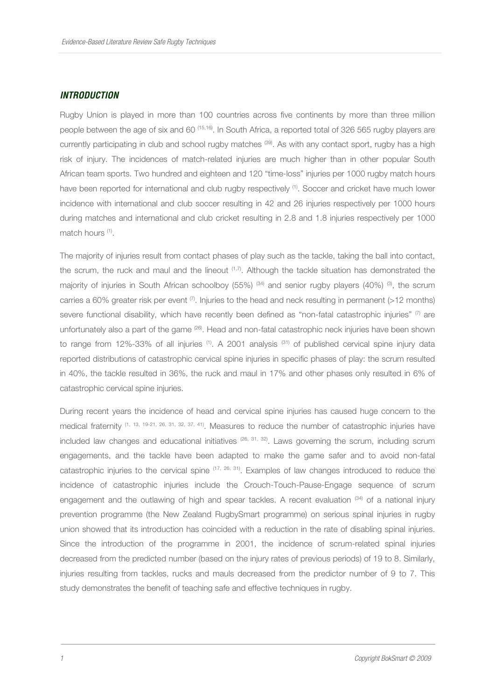#### **INTRODUCTION**

Rugby Union is played in more than 100 countries across five continents by more than three million people between the age of six and 60 (15,16). In South Africa, a reported total of 326 565 rugby players are currently participating in club and school rugby matches (39). As with any contact sport, rugby has a high risk of injury. The incidences of match-related injuries are much higher than in other popular South African team sports. Two hundred and eighteen and 120 "time-loss" injuries per 1000 rugby match hours have been reported for international and club rugby respectively <sup>(1)</sup>. Soccer and cricket have much lower incidence with international and club soccer resulting in 42 and 26 injuries respectively per 1000 hours during matches and international and club cricket resulting in 2.8 and 1.8 injuries respectively per 1000 match hours <sup>(1)</sup>.

The majority of injuries result from contact phases of play such as the tackle, taking the ball into contact, the scrum, the ruck and maul and the lineout (1,7). Although the tackle situation has demonstrated the majority of injuries in South African schoolboy (55%)  $(34)$  and senior rugby players (40%)  $(3)$ , the scrum carries a 60% greater risk per event  $(7)$ . Injuries to the head and neck resulting in permanent (>12 months) severe functional disability, which have recently been defined as "non-fatal catastrophic injuries" (7) are unfortunately also a part of the game  $^{(26)}$ . Head and non-fatal catastrophic neck injuries have been shown to range from 12%-33% of all injuries <sup>(1)</sup>. A 2001 analysis <sup>(31)</sup> of published cervical spine injury data reported distributions of catastrophic cervical spine injuries in specific phases of play: the scrum resulted in 40%, the tackle resulted in 36%, the ruck and maul in 17% and other phases only resulted in 6% of catastrophic cervical spine injuries.

During recent years the incidence of head and cervical spine injuries has caused huge concern to the medical fraternity (1, 13, 19-21, 26, 31, 32, 37, 41). Measures to reduce the number of catastrophic injuries have included law changes and educational initiatives  $(26, 31, 32)$ . Laws governing the scrum, including scrum engagements, and the tackle have been adapted to make the game safer and to avoid non-fatal catastrophic injuries to the cervical spine  $(17, 26, 31)$ . Examples of law changes introduced to reduce the incidence of catastrophic injuries include the Crouch-Touch-Pause-Engage sequence of scrum engagement and the outlawing of high and spear tackles. A recent evaluation <sup>(34)</sup> of a national injury prevention programme (the New Zealand RugbySmart programme) on serious spinal injuries in rugby union showed that its introduction has coincided with a reduction in the rate of disabling spinal injuries. Since the introduction of the programme in 2001, the incidence of scrum-related spinal injuries decreased from the predicted number (based on the injury rates of previous periods) of 19 to 8. Similarly, injuries resulting from tackles, rucks and mauls decreased from the predictor number of 9 to 7. This study demonstrates the benefit of teaching safe and effective techniques in rugby.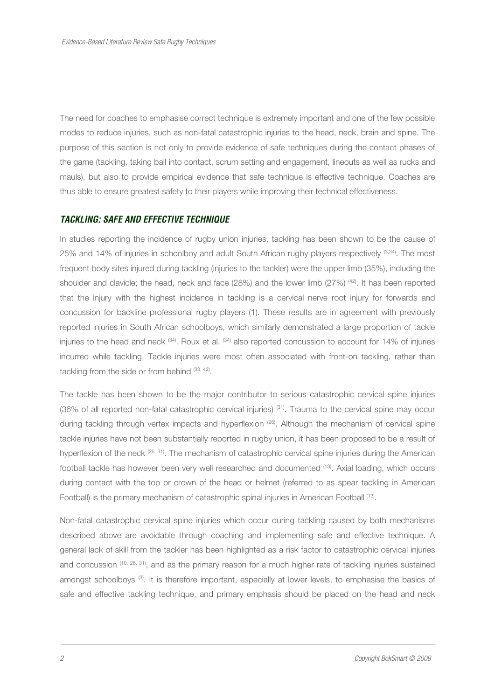The need for coaches to emphasise correct technique is extremely important and one of the few possible modes to reduce injuries, such as non-fatal catastrophic injuries to the head, neck, brain and spine. The purpose of this section is not only to provide evidence of safe techniques during the contact phases of the game (tackling, taking ball into contact, scrum setting and engagement, lineouts as well as rucks and mauls), but also to provide empirical evidence that safe technique is effective technique. Coaches are thus able to ensure greatest safety to their players while improving their technical effectiveness.

#### **TACKLING: SAFE AND EFFECTIVE TECHNIQUE**

In studies reporting the incidence of rugby union injuries, tackling has been shown to be the cause of 25% and 14% of injuries in schoolboy and adult South African rugby players respectively (3,34). The most frequent body sites injured during tackling (injuries to the tackler) were the upper limb (35%), including the shoulder and clavicle; the head, neck and face  $(28%)$  and the lower limb  $(27%)$   $^{(42)}$ . It has been reported that the injury with the highest incidence in tackling is a cervical nerve root injury for forwards and concussion for backline professional rugby players (1). These results are in agreement with previously reported injuries in South African schoolboys, which similarly demonstrated a large proportion of tackle injuries to the head and neck  $^{(34)}$ . Roux et al.  $^{(34)}$  also reported concussion to account for 14% of injuries incurred while tackling. Tackle injuries were most often associated with front-on tackling, rather than tackling from the side or from behind (33, 42).

The tackle has been shown to be the major contributor to serious catastrophic cervical spine injuries (36% of all reported non-fatal catastrophic cervical injuries) (31). Trauma to the cervical spine may occur during tackling through vertex impacts and hyperflexion (26). Although the mechanism of cervical spine tackle injuries have not been substantially reported in rugby union, it has been proposed to be a result of hyperflexion of the neck (26, 31). The mechanism of catastrophic cervical spine injuries during the American football tackle has however been very well researched and documented <sup>(13)</sup>. Axial loading, which occurs during contact with the top or crown of the head or helmet (referred to as spear tackling in American Football) is the primary mechanism of catastrophic spinal injuries in American Football <sup>(13)</sup>.

Non-fatal catastrophic cervical spine injuries which occur during tackling caused by both mechanisms described above are avoidable through coaching and implementing safe and effective technique. A general lack of skill from the tackler has been highlighted as a risk factor to catastrophic cervical injuries and concussion (10, 26, 31), and as the primary reason for a much higher rate of tackling injuries sustained amongst schoolboys<sup>(3)</sup>. It is therefore important, especially at lower levels, to emphasise the basics of safe and effective tackling technique, and primary emphasis should be placed on the head and neck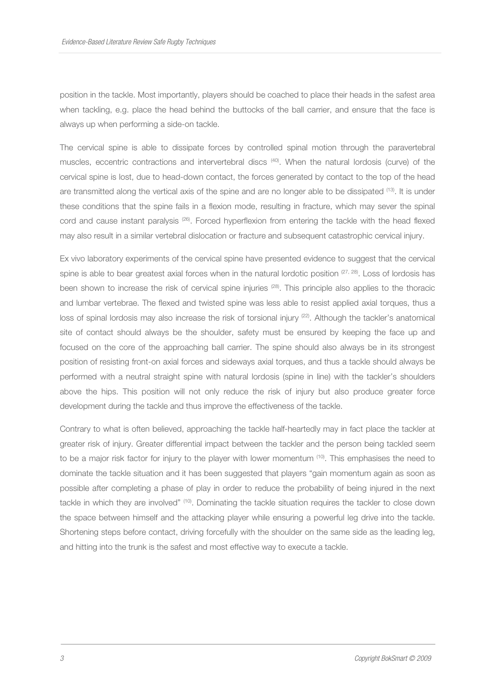position in the tackle. Most importantly, players should be coached to place their heads in the safest area when tackling, e.g. place the head behind the buttocks of the ball carrier, and ensure that the face is always up when performing a side-on tackle.

The cervical spine is able to dissipate forces by controlled spinal motion through the paravertebral muscles, eccentric contractions and intervertebral discs (40). When the natural lordosis (curve) of the cervical spine is lost, due to head-down contact, the forces generated by contact to the top of the head are transmitted along the vertical axis of the spine and are no longer able to be dissipated (13). It is under these conditions that the spine fails in a flexion mode, resulting in fracture, which may sever the spinal cord and cause instant paralysis (26). Forced hyperflexion from entering the tackle with the head flexed may also result in a similar vertebral dislocation or fracture and subsequent catastrophic cervical injury.

Ex vivo laboratory experiments of the cervical spine have presented evidence to suggest that the cervical spine is able to bear greatest axial forces when in the natural lordotic position (27, 28). Loss of lordosis has been shown to increase the risk of cervical spine injuries  $(28)$ . This principle also applies to the thoracic and lumbar vertebrae. The flexed and twisted spine was less able to resist applied axial torques, thus a loss of spinal lordosis may also increase the risk of torsional injury <sup>(22)</sup>. Although the tackler's anatomical site of contact should always be the shoulder, safety must be ensured by keeping the face up and focused on the core of the approaching ball carrier. The spine should also always be in its strongest position of resisting front-on axial forces and sideways axial torques, and thus a tackle should always be performed with a neutral straight spine with natural lordosis (spine in line) with the tackler's shoulders above the hips. This position will not only reduce the risk of injury but also produce greater force development during the tackle and thus improve the effectiveness of the tackle.

Contrary to what is often believed, approaching the tackle half-heartedly may in fact place the tackler at greater risk of injury. Greater differential impact between the tackler and the person being tackled seem to be a major risk factor for injury to the player with lower momentum <sup>(10)</sup>. This emphasises the need to dominate the tackle situation and it has been suggested that players "gain momentum again as soon as possible after completing a phase of play in order to reduce the probability of being injured in the next tackle in which they are involved" (10). Dominating the tackle situation requires the tackler to close down the space between himself and the attacking player while ensuring a powerful leg drive into the tackle. Shortening steps before contact, driving forcefully with the shoulder on the same side as the leading leg, and hitting into the trunk is the safest and most effective way to execute a tackle.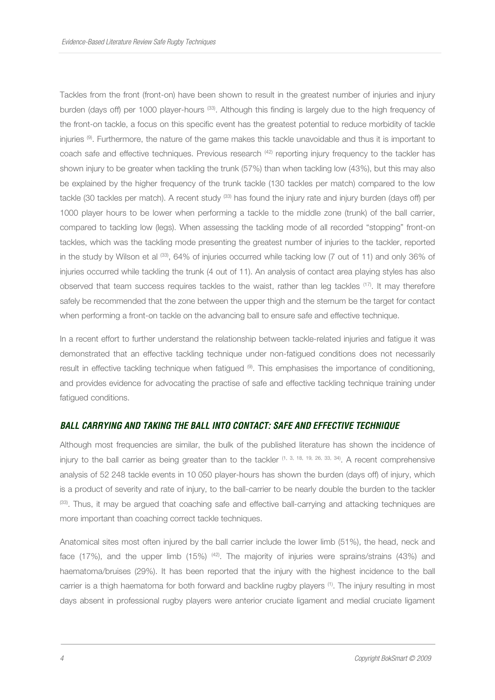Tackles from the front (front-on) have been shown to result in the greatest number of injuries and injury burden (days off) per 1000 player-hours <sup>(33)</sup>. Although this finding is largely due to the high frequency of the front-on tackle, a focus on this specific event has the greatest potential to reduce morbidity of tackle injuries (9). Furthermore, the nature of the game makes this tackle unavoidable and thus it is important to coach safe and effective techniques. Previous research <sup>(42)</sup> reporting injury frequency to the tackler has shown injury to be greater when tackling the trunk (57%) than when tackling low (43%), but this may also be explained by the higher frequency of the trunk tackle (130 tackles per match) compared to the low tackle (30 tackles per match). A recent study <sup>(33)</sup> has found the injury rate and injury burden (days off) per 1000 player hours to be lower when performing a tackle to the middle zone (trunk) of the ball carrier, compared to tackling low (legs). When assessing the tackling mode of all recorded "stopping" front-on tackles, which was the tackling mode presenting the greatest number of injuries to the tackler, reported in the study by Wilson et al <sup>(33)</sup>, 64% of injuries occurred while tacking low (7 out of 11) and only 36% of injuries occurred while tackling the trunk (4 out of 11). An analysis of contact area playing styles has also observed that team success requires tackles to the waist, rather than leg tackles (17). It may therefore safely be recommended that the zone between the upper thigh and the sternum be the target for contact when performing a front-on tackle on the advancing ball to ensure safe and effective technique.

In a recent effort to further understand the relationship between tackle-related injuries and fatigue it was demonstrated that an effective tackling technique under non-fatigued conditions does not necessarily result in effective tackling technique when fatigued (9). This emphasises the importance of conditioning, and provides evidence for advocating the practise of safe and effective tackling technique training under fatigued conditions.

## **BALL CARRYING AND TAKING THE BALL INTO CONTACT: SAFE AND EFFECTIVE TECHNIQUE**

Although most frequencies are similar, the bulk of the published literature has shown the incidence of injury to the ball carrier as being greater than to the tackler  $(1, 3, 18, 19, 26, 33, 34)$ . A recent comprehensive analysis of 52 248 tackle events in 10 050 player-hours has shown the burden (days off) of injury, which is a product of severity and rate of injury, to the ball-carrier to be nearly double the burden to the tackler (33). Thus, it may be argued that coaching safe and effective ball-carrying and attacking techniques are more important than coaching correct tackle techniques.

Anatomical sites most often injured by the ball carrier include the lower limb (51%), the head, neck and face (17%), and the upper limb (15%) <sup>(42)</sup>. The majority of injuries were sprains/strains (43%) and haematoma/bruises (29%). It has been reported that the injury with the highest incidence to the ball carrier is a thigh haematoma for both forward and backline rugby players <sup>(1)</sup>. The injury resulting in most days absent in professional rugby players were anterior cruciate ligament and medial cruciate ligament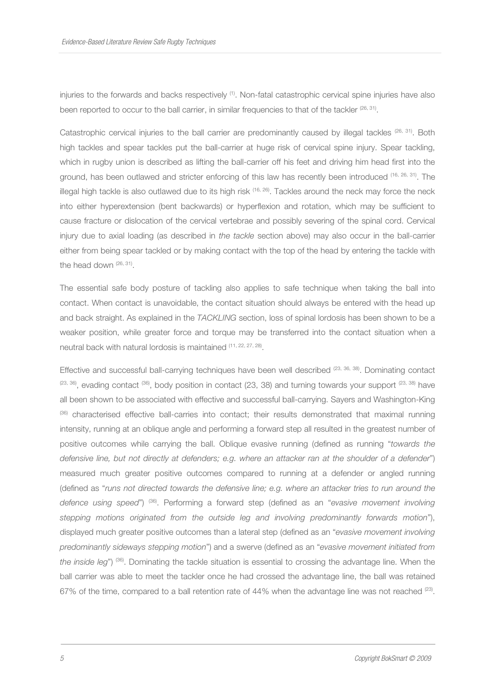injuries to the forwards and backs respectively (1). Non-fatal catastrophic cervical spine injuries have also been reported to occur to the ball carrier, in similar frequencies to that of the tackler  $(26, 31)$ .

Catastrophic cervical injuries to the ball carrier are predominantly caused by illegal tackles (26, 31). Both high tackles and spear tackles put the ball-carrier at huge risk of cervical spine injury. Spear tackling, which in rugby union is described as lifting the ball-carrier off his feet and driving him head first into the ground, has been outlawed and stricter enforcing of this law has recently been introduced (16, 26, 31). The illegal high tackle is also outlawed due to its high risk <sup>(16, 26)</sup>. Tackles around the neck may force the neck into either hyperextension (bent backwards) or hyperflexion and rotation, which may be sufficient to cause fracture or dislocation of the cervical vertebrae and possibly severing of the spinal cord. Cervical injury due to axial loading (as described in the tackle section above) may also occur in the ball-carrier either from being spear tackled or by making contact with the top of the head by entering the tackle with the head down (26, 31).

The essential safe body posture of tackling also applies to safe technique when taking the ball into contact. When contact is unavoidable, the contact situation should always be entered with the head up and back straight. As explained in the TACKLING section, loss of spinal lordosis has been shown to be a weaker position, while greater force and torque may be transferred into the contact situation when a neutral back with natural lordosis is maintained (11, 22, 27, 28).

Effective and successful ball-carrying techniques have been well described (23, 36, 38). Dominating contact  $(23, 36)$ , evading contact  $(36)$ , body position in contact (23, 38) and turning towards your support  $(23, 38)$  have all been shown to be associated with effective and successful ball-carrying. Sayers and Washington-King (36) characterised effective ball-carries into contact; their results demonstrated that maximal running intensity, running at an oblique angle and performing a forward step all resulted in the greatest number of positive outcomes while carrying the ball. Oblique evasive running (defined as running "towards the defensive line, but not directly at defenders; e.g. where an attacker ran at the shoulder of a defender") measured much greater positive outcomes compared to running at a defender or angled running (defined as "runs not directed towards the defensive line; e.g. where an attacker tries to run around the defence using speed") (36). Performing a forward step (defined as an "evasive movement involving stepping motions originated from the outside leg and involving predominantly forwards motion"), displayed much greater positive outcomes than a lateral step (defined as an "evasive movement involving predominantly sideways stepping motion") and a swerve (defined as an "evasive movement initiated from the inside leg") (36). Dominating the tackle situation is essential to crossing the advantage line. When the ball carrier was able to meet the tackler once he had crossed the advantage line, the ball was retained 67% of the time, compared to a ball retention rate of 44% when the advantage line was not reached  $^{[23]}$ .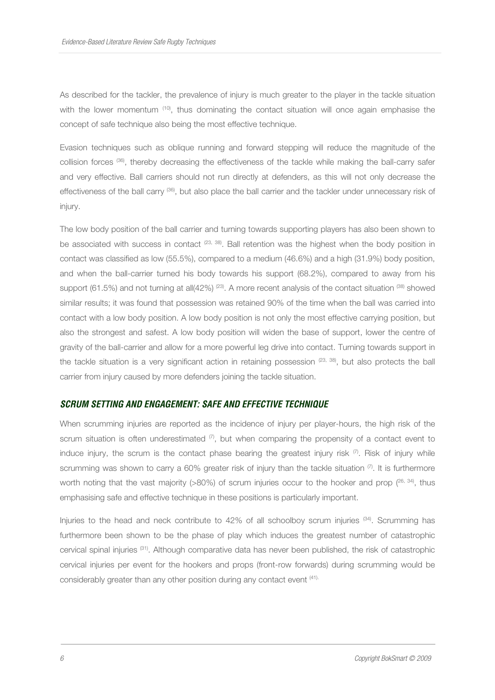As described for the tackler, the prevalence of injury is much greater to the player in the tackle situation with the lower momentum <sup>(10)</sup>, thus dominating the contact situation will once again emphasise the concept of safe technique also being the most effective technique.

Evasion techniques such as oblique running and forward stepping will reduce the magnitude of the collision forces (36), thereby decreasing the effectiveness of the tackle while making the ball-carry safer and very effective. Ball carriers should not run directly at defenders, as this will not only decrease the effectiveness of the ball carry (36), but also place the ball carrier and the tackler under unnecessary risk of injury.

The low body position of the ball carrier and turning towards supporting players has also been shown to be associated with success in contact <sup>(23, 38)</sup>. Ball retention was the highest when the body position in contact was classified as low (55.5%), compared to a medium (46.6%) and a high (31.9%) body position, and when the ball-carrier turned his body towards his support (68.2%), compared to away from his support (61.5%) and not turning at all(42%)  $^{(23)}$ . A more recent analysis of the contact situation  $^{(38)}$  showed similar results; it was found that possession was retained 90% of the time when the ball was carried into contact with a low body position. A low body position is not only the most effective carrying position, but also the strongest and safest. A low body position will widen the base of support, lower the centre of gravity of the ball-carrier and allow for a more powerful leg drive into contact. Turning towards support in the tackle situation is a very significant action in retaining possession  $(23, 38)$ , but also protects the ball carrier from injury caused by more defenders joining the tackle situation.

#### **SCRUM SETTING AND ENGAGEMENT: SAFE AND EFFECTIVE TECHNIQUE**

When scrumming injuries are reported as the incidence of injury per player-hours, the high risk of the scrum situation is often underestimated  $(7)$ , but when comparing the propensity of a contact event to induce injury, the scrum is the contact phase bearing the greatest injury risk  $(7)$ . Risk of injury while scrumming was shown to carry a 60% greater risk of injury than the tackle situation (7). It is furthermore worth noting that the vast majority (>80%) of scrum injuries occur to the hooker and prop  $(26, 34)$ , thus emphasising safe and effective technique in these positions is particularly important.

Injuries to the head and neck contribute to 42% of all schoolboy scrum injuries <sup>(34)</sup>. Scrumming has furthermore been shown to be the phase of play which induces the greatest number of catastrophic cervical spinal injuries (31). Although comparative data has never been published, the risk of catastrophic cervical injuries per event for the hookers and props (front-row forwards) during scrumming would be considerably greater than any other position during any contact event (41).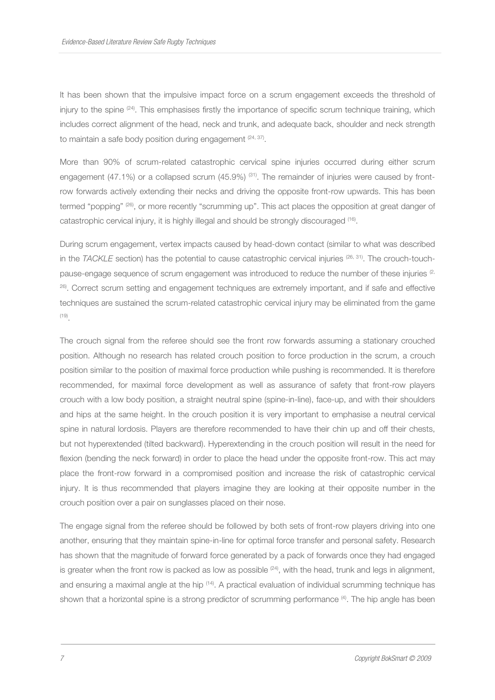It has been shown that the impulsive impact force on a scrum engagement exceeds the threshold of injury to the spine  $(24)$ . This emphasises firstly the importance of specific scrum technique training, which includes correct alignment of the head, neck and trunk, and adequate back, shoulder and neck strength to maintain a safe body position during engagement  $(24, 37)$ .

More than 90% of scrum-related catastrophic cervical spine injuries occurred during either scrum engagement (47.1%) or a collapsed scrum (45.9%)  $(31)$ . The remainder of injuries were caused by frontrow forwards actively extending their necks and driving the opposite front-row upwards. This has been termed "popping" (26), or more recently "scrumming up". This act places the opposition at great danger of catastrophic cervical injury, it is highly illegal and should be strongly discouraged <sup>(16)</sup>.

During scrum engagement, vertex impacts caused by head-down contact (similar to what was described in the TACKLE section) has the potential to cause catastrophic cervical injuries (26, 31). The crouch-touchpause-engage sequence of scrum engagement was introduced to reduce the number of these injuries <sup>(2,</sup> <sup>26)</sup>. Correct scrum setting and engagement techniques are extremely important, and if safe and effective techniques are sustained the scrum-related catastrophic cervical injury may be eliminated from the game (19) .

The crouch signal from the referee should see the front row forwards assuming a stationary crouched position. Although no research has related crouch position to force production in the scrum, a crouch position similar to the position of maximal force production while pushing is recommended. It is therefore recommended, for maximal force development as well as assurance of safety that front-row players crouch with a low body position, a straight neutral spine (spine-in-line), face-up, and with their shoulders and hips at the same height. In the crouch position it is very important to emphasise a neutral cervical spine in natural lordosis. Players are therefore recommended to have their chin up and off their chests, but not hyperextended (tilted backward). Hyperextending in the crouch position will result in the need for flexion (bending the neck forward) in order to place the head under the opposite front-row. This act may place the front-row forward in a compromised position and increase the risk of catastrophic cervical injury. It is thus recommended that players imagine they are looking at their opposite number in the crouch position over a pair on sunglasses placed on their nose.

The engage signal from the referee should be followed by both sets of front-row players driving into one another, ensuring that they maintain spine-in-line for optimal force transfer and personal safety. Research has shown that the magnitude of forward force generated by a pack of forwards once they had engaged is greater when the front row is packed as low as possible  $(24)$ , with the head, trunk and legs in alignment, and ensuring a maximal angle at the hip <sup>(14)</sup>. A practical evaluation of individual scrumming technique has shown that a horizontal spine is a strong predictor of scrumming performance (4). The hip angle has been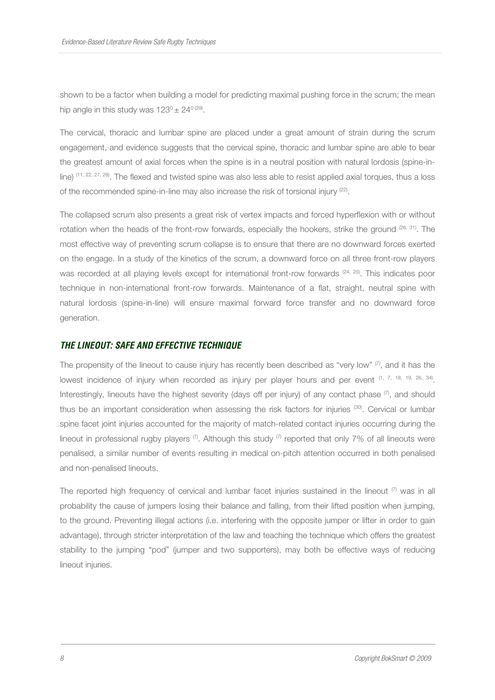shown to be a factor when building a model for predicting maximal pushing force in the scrum; the mean hip angle in this study was  $123^{\circ} \pm 24^{\circ}$  (29).

The cervical, thoracic and lumbar spine are placed under a great amount of strain during the scrum engagement, and evidence suggests that the cervical spine, thoracic and lumbar spine are able to bear the greatest amount of axial forces when the spine is in a neutral position with natural lordosis (spine-inline) (11, 22, 27, 28). The flexed and twisted spine was also less able to resist applied axial torques, thus a loss of the recommended spine-in-line may also increase the risk of torsional injury <sup>(22)</sup>.

The collapsed scrum also presents a great risk of vertex impacts and forced hyperflexion with or without rotation when the heads of the front-row forwards, especially the hookers, strike the ground  $(26, 31)$ . The most effective way of preventing scrum collapse is to ensure that there are no downward forces exerted on the engage. In a study of the kinetics of the scrum, a downward force on all three front-row players was recorded at all playing levels except for international front-row forwards (24, 25). This indicates poor technique in non-international front-row forwards. Maintenance of a flat, straight, neutral spine with natural lordosis (spine-in-line) will ensure maximal forward force transfer and no downward force generation.

#### **THE LINEOUT: SAFE AND EFFECTIVE TECHNIQUE**

The propensity of the lineout to cause injury has recently been described as "very low"  $\sigma$ , and it has the lowest incidence of injury when recorded as injury per player hours and per event  $(1, 7, 18, 19, 26, 34)$ . Interestingly, lineouts have the highest severity (days off per injury) of any contact phase  $(\vec{r})$ , and should thus be an important consideration when assessing the risk factors for injuries (30). Cervical or lumbar spine facet joint injuries accounted for the majority of match-related contact injuries occurring during the lineout in professional rugby players  $\binom{7}{1}$ . Although this study  $\binom{7}{1}$  reported that only 7% of all lineouts were penalised, a similar number of events resulting in medical on-pitch attention occurred in both penalised and non-penalised lineouts.

The reported high frequency of cervical and lumbar facet injuries sustained in the lineout  $\sigma$  was in all probability the cause of jumpers losing their balance and falling, from their lifted position when jumping, to the ground. Preventing illegal actions (i.e. interfering with the opposite jumper or lifter in order to gain advantage), through stricter interpretation of the law and teaching the technique which offers the greatest stability to the jumping "pod" (jumper and two supporters), may both be effective ways of reducing lineout injuries.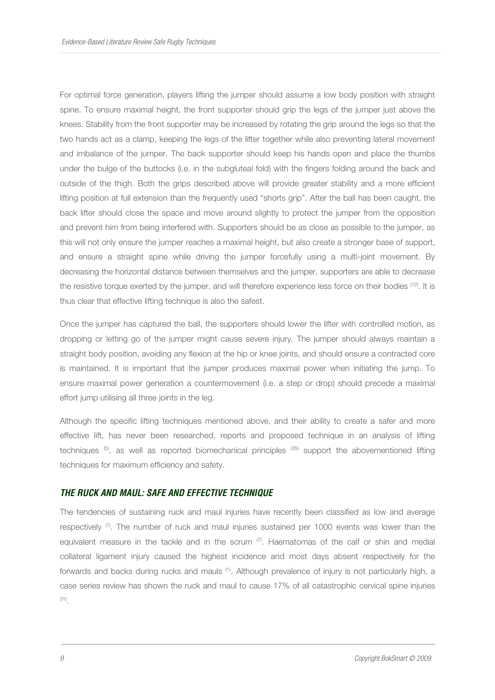For optimal force generation, players lifting the jumper should assume a low body position with straight spine. To ensure maximal height, the front supporter should grip the legs of the jumper just above the knees. Stability from the front supporter may be increased by rotating the grip around the legs so that the two hands act as a clamp, keeping the legs of the lifter together while also preventing lateral movement and imbalance of the jumper. The back supporter should keep his hands open and place the thumbs under the bulge of the buttocks (i.e. in the subgluteal fold) with the fingers folding around the back and outside of the thigh. Both the grips described above will provide greater stability and a more efficient lifting position at full extension than the frequently used "shorts grip". After the ball has been caught, the back lifter should close the space and move around slightly to protect the jumper from the opposition and prevent him from being interfered with. Supporters should be as close as possible to the jumper, as this will not only ensure the jumper reaches a maximal height, but also create a stronger base of support, and ensure a straight spine while driving the jumper forcefully using a multi-joint movement. By decreasing the horizontal distance between themselves and the jumper, supporters are able to decrease the resistive torque exerted by the jumper, and will therefore experience less force on their bodies <sup>(12)</sup>. It is thus clear that effective lifting technique is also the safest.

Once the jumper has captured the ball, the supporters should lower the lifter with controlled motion, as dropping or letting go of the jumper might cause severe injury. The jumper should always maintain a straight body position, avoiding any flexion at the hip or knee joints, and should ensure a contracted core is maintained. It is important that the jumper produces maximal power when initiating the jump. To ensure maximal power generation a countermovement (i.e. a step or drop) should precede a maximal effort jump utilising all three joints in the leg.

Although the specific lifting techniques mentioned above, and their ability to create a safer and more effective lift, has never been researched, reports and proposed technique in an analysis of lifting techniques (5), as well as reported biomechanical principles (35) support the abovementioned lifting techniques for maximum efficiency and safety.

#### **THE RUCK AND MAUL: SAFE AND EFFECTIVE TECHNIQUE**

The tendencies of sustaining ruck and maul injuries have recently been classified as low and average respectively  $(7)$ . The number of ruck and maul injuries sustained per 1000 events was lower than the equivalent measure in the tackle and in the scrum  $(7)$ . Haematomas of the calf or shin and medial collateral ligament injury caused the highest incidence and most days absent respectively for the forwards and backs during rucks and mauls (1). Although prevalence of injury is not particularly high, a case series review has shown the ruck and maul to cause 17% of all catastrophic cervical spine injuries 31) .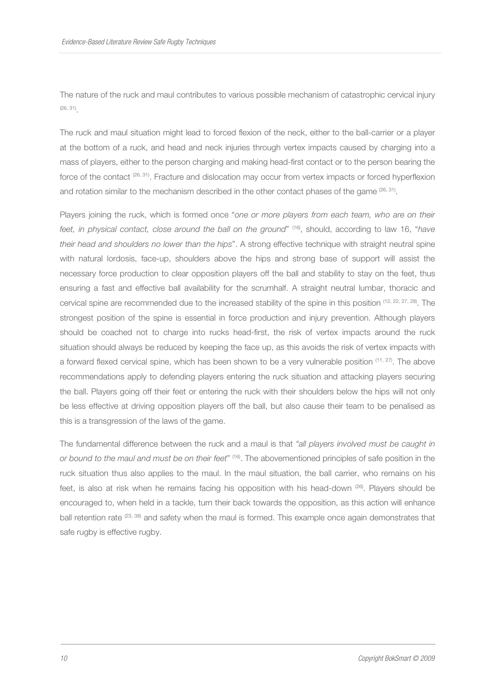The nature of the ruck and maul contributes to various possible mechanism of catastrophic cervical injury (26, 31) .

The ruck and maul situation might lead to forced flexion of the neck, either to the ball-carrier or a player at the bottom of a ruck, and head and neck injuries through vertex impacts caused by charging into a mass of players, either to the person charging and making head-first contact or to the person bearing the force of the contact  $(26, 31)$ . Fracture and dislocation may occur from vertex impacts or forced hyperflexion and rotation similar to the mechanism described in the other contact phases of the game  $^{26, 31}$ .

Players joining the ruck, which is formed once "one or more players from each team, who are on their feet, in physical contact, close around the ball on the ground" (16), should, according to law 16, "have their head and shoulders no lower than the hips". A strong effective technique with straight neutral spine with natural lordosis, face-up, shoulders above the hips and strong base of support will assist the necessary force production to clear opposition players off the ball and stability to stay on the feet, thus ensuring a fast and effective ball availability for the scrumhalf. A straight neutral lumbar, thoracic and cervical spine are recommended due to the increased stability of the spine in this position (12, 22, 27, 28). The strongest position of the spine is essential in force production and injury prevention. Although players should be coached not to charge into rucks head-first, the risk of vertex impacts around the ruck situation should always be reduced by keeping the face up, as this avoids the risk of vertex impacts with a forward flexed cervical spine, which has been shown to be a very vulnerable position  $(11, 27)$ . The above recommendations apply to defending players entering the ruck situation and attacking players securing the ball. Players going off their feet or entering the ruck with their shoulders below the hips will not only be less effective at driving opposition players off the ball, but also cause their team to be penalised as this is a transgression of the laws of the game.

The fundamental difference between the ruck and a maul is that "all players involved must be caught in or bound to the maul and must be on their feet" (16). The abovementioned principles of safe position in the ruck situation thus also applies to the maul. In the maul situation, the ball carrier, who remains on his feet, is also at risk when he remains facing his opposition with his head-down (26). Players should be encouraged to, when held in a tackle, turn their back towards the opposition, as this action will enhance ball retention rate <sup>(23, 38)</sup> and safety when the maul is formed. This example once again demonstrates that safe rugby is effective rugby.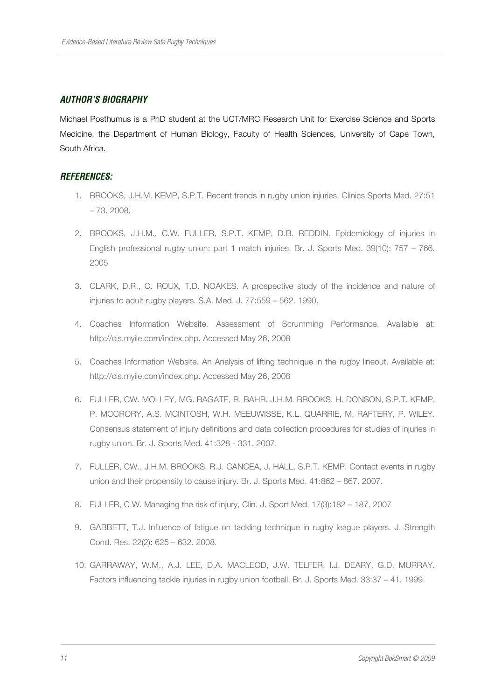# **AUTHOR'S BIOGRAPHY**

Michael Posthumus is a PhD student at the UCT/MRC Research Unit for Exercise Science and Sports Medicine, the Department of Human Biology, Faculty of Health Sciences, University of Cape Town, South Africa.

## **REFERENCES:**

- 1. BROOKS, J.H.M. KEMP, S.P.T. Recent trends in rugby union injuries. Clinics Sports Med. 27:51 – 73. 2008.
- 2. BROOKS, J.H.M., C.W. FULLER, S.P.T. KEMP, D.B. REDDIN. Epidemiology of injuries in English professional rugby union: part 1 match injuries. Br. J. Sports Med. 39(10): 757 – 766. 2005
- 3. CLARK, D.R., C. ROUX, T.D. NOAKES. A prospective study of the incidence and nature of injuries to adult rugby players. S.A. Med. J. 77:559 – 562. 1990.
- 4. Coaches Information Website. Assessment of Scrumming Performance. Available at: http://cis.myile.com/index.php. Accessed May 26, 2008
- 5. Coaches Information Website. An Analysis of lifting technique in the rugby lineout. Available at: http://cis.myile.com/index.php. Accessed May 26, 2008
- 6. FULLER, CW. MOLLEY, MG. BAGATE, R. BAHR, J.H.M. BROOKS, H. DONSON, S.P.T. KEMP, P. MCCRORY, A.S. MCINTOSH, W.H. MEEUWISSE, K.L. QUARRIE, M. RAFTERY, P. WILEY. Consensus statement of injury definitions and data collection procedures for studies of injuries in rugby union. Br. J. Sports Med. 41:328 - 331. 2007.
- 7. FULLER, CW., J.H.M. BROOKS, R.J. CANCEA, J. HALL, S.P.T. KEMP. Contact events in rugby union and their propensity to cause injury. Br. J. Sports Med. 41:862 – 867. 2007.
- 8. FULLER, C.W. Managing the risk of injury, Clin. J. Sport Med. 17(3):182 187. 2007
- 9. GABBETT, T.J. Influence of fatigue on tackling technique in rugby league players. J. Strength Cond. Res. 22(2): 625 – 632. 2008.
- 10. GARRAWAY, W.M., A.J. LEE, D.A. MACLEOD, J.W. TELFER, I.J. DEARY, G.D. MURRAY. Factors influencing tackle injuries in rugby union football. Br. J. Sports Med. 33:37 – 41. 1999.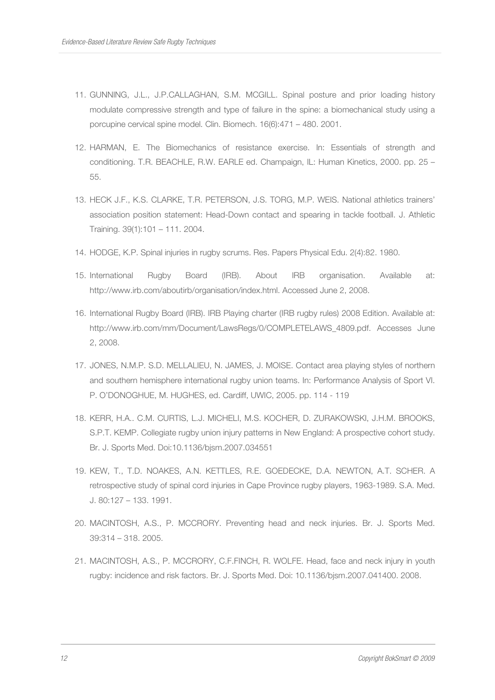- 11. GUNNING, J.L., J.P.CALLAGHAN, S.M. MCGILL. Spinal posture and prior loading history modulate compressive strength and type of failure in the spine: a biomechanical study using a porcupine cervical spine model. Clin. Biomech. 16(6):471 – 480. 2001.
- 12. HARMAN, E. The Biomechanics of resistance exercise. In: Essentials of strength and conditioning. T.R. BEACHLE, R.W. EARLE ed. Champaign, IL: Human Kinetics, 2000. pp. 25 – 55.
- 13. HECK J.F., K.S. CLARKE, T.R. PETERSON, J.S. TORG, M.P. WEIS. National athletics trainers' association position statement: Head-Down contact and spearing in tackle football. J. Athletic Training. 39(1):101 – 111. 2004.
- 14. HODGE, K.P. Spinal injuries in rugby scrums. Res. Papers Physical Edu. 2(4):82. 1980.
- 15. International Rugby Board (IRB). About IRB organisation. Available at: http://www.irb.com/aboutirb/organisation/index.html. Accessed June 2, 2008.
- 16. International Rugby Board (IRB). IRB Playing charter (IRB rugby rules) 2008 Edition. Available at: http://www.irb.com/mm/Document/LawsRegs/0/COMPLETELAWS\_4809.pdf. Accesses June 2, 2008.
- 17. JONES, N.M.P. S.D. MELLALIEU, N. JAMES, J. MOISE. Contact area playing styles of northern and southern hemisphere international rugby union teams. In: Performance Analysis of Sport VI. P. O'DONOGHUE, M. HUGHES, ed. Cardiff, UWIC, 2005. pp. 114 - 119
- 18. KERR, H.A.. C.M. CURTIS, L.J. MICHELI, M.S. KOCHER, D. ZURAKOWSKI, J.H.M. BROOKS, S.P.T. KEMP. Collegiate rugby union injury patterns in New England: A prospective cohort study. Br. J. Sports Med. Doi:10.1136/bjsm.2007.034551
- 19. KEW, T., T.D. NOAKES, A.N. KETTLES, R.E. GOEDECKE, D.A. NEWTON, A.T. SCHER. A retrospective study of spinal cord injuries in Cape Province rugby players, 1963-1989. S.A. Med. J. 80:127 – 133. 1991.
- 20. MACINTOSH, A.S., P. MCCRORY. Preventing head and neck injuries. Br. J. Sports Med. 39:314 – 318. 2005.
- 21. MACINTOSH, A.S., P. MCCRORY, C.F.FINCH, R. WOLFE. Head, face and neck injury in youth rugby: incidence and risk factors. Br. J. Sports Med. Doi: 10.1136/bjsm.2007.041400. 2008.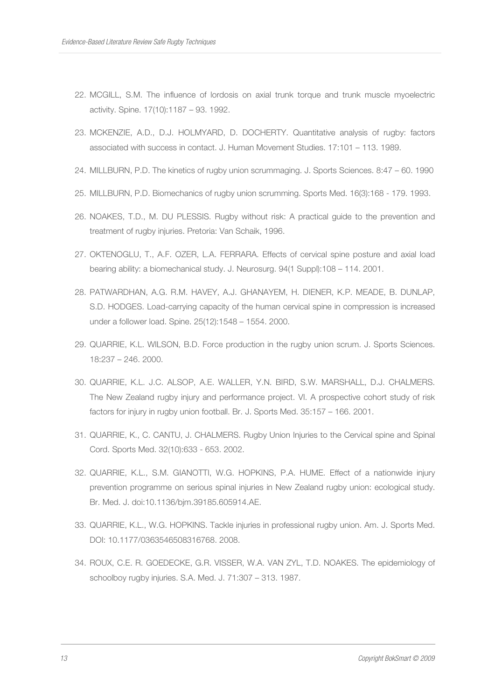- 22. MCGILL, S.M. The influence of lordosis on axial trunk torque and trunk muscle myoelectric activity. Spine. 17(10):1187 – 93. 1992.
- 23. MCKENZIE, A.D., D.J. HOLMYARD, D. DOCHERTY. Quantitative analysis of rugby: factors associated with success in contact. J. Human Movement Studies. 17:101 – 113. 1989.
- 24. MILLBURN, P.D. The kinetics of rugby union scrummaging. J. Sports Sciences. 8:47 60. 1990
- 25. MILLBURN, P.D. Biomechanics of rugby union scrumming. Sports Med. 16(3):168 179. 1993.
- 26. NOAKES, T.D., M. DU PLESSIS. Rugby without risk: A practical guide to the prevention and treatment of rugby injuries. Pretoria: Van Schaik, 1996.
- 27. OKTENOGLU, T., A.F. OZER, L.A. FERRARA. Effects of cervical spine posture and axial load bearing ability: a biomechanical study. J. Neurosurg. 94(1 Suppl):108 – 114. 2001.
- 28. PATWARDHAN, A.G. R.M. HAVEY, A.J. GHANAYEM, H. DIENER, K.P. MEADE, B. DUNLAP, S.D. HODGES. Load-carrying capacity of the human cervical spine in compression is increased under a follower load. Spine. 25(12):1548 – 1554. 2000.
- 29. QUARRIE, K.L. WILSON, B.D. Force production in the rugby union scrum. J. Sports Sciences. 18:237 – 246. 2000.
- 30. QUARRIE, K.L. J.C. ALSOP, A.E. WALLER, Y.N. BIRD, S.W. MARSHALL, D.J. CHALMERS. The New Zealand rugby injury and performance project. VI. A prospective cohort study of risk factors for injury in rugby union football. Br. J. Sports Med. 35:157 – 166. 2001.
- 31. QUARRIE, K., C. CANTU, J. CHALMERS. Rugby Union Injuries to the Cervical spine and Spinal Cord. Sports Med. 32(10):633 - 653. 2002.
- 32. QUARRIE, K.L., S.M. GIANOTTI, W.G. HOPKINS, P.A. HUME. Effect of a nationwide injury prevention programme on serious spinal injuries in New Zealand rugby union: ecological study. Br. Med. J. doi:10.1136/bjm.39185.605914.AE.
- 33. QUARRIE, K.L., W.G. HOPKINS. Tackle injuries in professional rugby union. Am. J. Sports Med. DOI: 10.1177/0363546508316768. 2008.
- 34. ROUX, C.E. R. GOEDECKE, G.R. VISSER, W.A. VAN ZYL, T.D. NOAKES. The epidemiology of schoolboy rugby injuries. S.A. Med. J. 71:307 – 313. 1987.